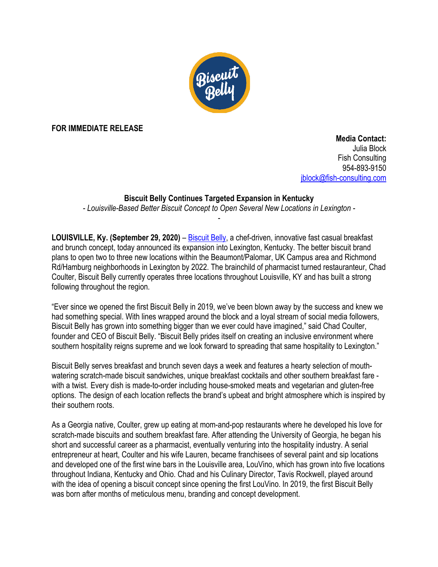

**FOR IMMEDIATE RELEASE** 

 **Media Contact:** Julia Block Fish Consulting 954-893-9150 jblock@fish-consulting.com

## **Biscuit Belly Continues Targeted Expansion in Kentucky**

*- Louisville-Based Better Biscuit Concept to Open Several New Locations in Lexington - -*

**LOUISVILLE, Ky. (September 29, 2020)** – Biscuit Belly, a chef-driven, innovative fast casual breakfast and brunch concept, today announced its expansion into Lexington, Kentucky. The better biscuit brand plans to open two to three new locations within the Beaumont/Palomar, UK Campus area and Richmond Rd/Hamburg neighborhoods in Lexington by 2022. The brainchild of pharmacist turned restauranteur, Chad Coulter, Biscuit Belly currently operates three locations throughout Louisville, KY and has built a strong following throughout the region.

"Ever since we opened the first Biscuit Belly in 2019, we've been blown away by the success and knew we had something special. With lines wrapped around the block and a loyal stream of social media followers, Biscuit Belly has grown into something bigger than we ever could have imagined," said Chad Coulter, founder and CEO of Biscuit Belly. "Biscuit Belly prides itself on creating an inclusive environment where southern hospitality reigns supreme and we look forward to spreading that same hospitality to Lexington."

Biscuit Belly serves breakfast and brunch seven days a week and features a hearty selection of mouthwatering scratch-made biscuit sandwiches, unique breakfast cocktails and other southern breakfast fare with a twist. Every dish is made-to-order including house-smoked meats and vegetarian and gluten-free options. The design of each location reflects the brand's upbeat and bright atmosphere which is inspired by their southern roots.

As a Georgia native, Coulter, grew up eating at mom-and-pop restaurants where he developed his love for scratch-made biscuits and southern breakfast fare. After attending the University of Georgia, he began his short and successful career as a pharmacist, eventually venturing into the hospitality industry. A serial entrepreneur at heart, Coulter and his wife Lauren, became franchisees of several paint and sip locations and developed one of the first wine bars in the Louisville area, LouVino, which has grown into five locations throughout Indiana, Kentucky and Ohio. Chad and his Culinary Director, Tavis Rockwell, played around with the idea of opening a biscuit concept since opening the first LouVino. In 2019, the first Biscuit Belly was born after months of meticulous menu, branding and concept development.